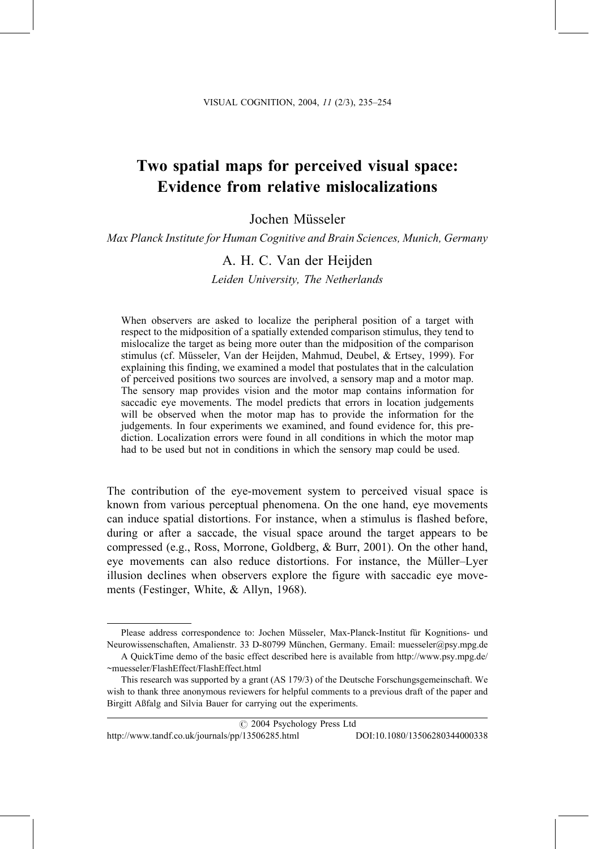# Two spatial maps for perceived visual space: **Evidence from relative mislocalizations**

Jochen Müsseler

Max Planck Institute for Human Cognitive and Brain Sciences, Munich, Germany

# A. H. C. Van der Heijden

Leiden University, The Netherlands

When observers are asked to localize the peripheral position of a target with respect to the midposition of a spatially extended comparison stimulus, they tend to mislocalize the target as being more outer than the midposition of the comparison stimulus (cf. Müsseler, Van der Heijden, Mahmud, Deubel, & Ertsey, 1999). For explaining this finding, we examined a model that postulates that in the calculation of perceived positions two sources are involved, a sensory map and a motor map. The sensory map provides vision and the motor map contains information for saccadic eye movements. The model predicts that errors in location judgements will be observed when the motor map has to provide the information for the judgements. In four experiments we examined, and found evidence for, this prediction. Localization errors were found in all conditions in which the motor map had to be used but not in conditions in which the sensory map could be used.

The contribution of the eye-movement system to perceived visual space is known from various perceptual phenomena. On the one hand, eve movements can induce spatial distortions. For instance, when a stimulus is flashed before, during or after a saccade, the visual space around the target appears to be compressed (e.g., Ross, Morrone, Goldberg, & Burr, 2001). On the other hand, eye movements can also reduce distortions. For instance, the Müller-Lyer illusion declines when observers explore the figure with saccadic eye movements (Festinger, White, & Allyn, 1968).

### C 2004 Psychology Press Ltd

http://www.tandf.co.uk/journals/pp/13506285.html DOI:10.1080/13506280344000338

Please address correspondence to: Jochen Müsseler, Max-Planck-Institut für Kognitions- und Neurowissenschaften, Amalienstr. 33 D-80799 München, Germany. Email: muesseler@psy.mpg.de

A QuickTime demo of the basic effect described here is available from http://www.psy.mpg.de/ ~muesseler/FlashEffect/FlashEffect.html

This research was supported by a grant (AS 179/3) of the Deutsche Forschungsgemeinschaft. We wish to thank three anonymous reviewers for helpful comments to a previous draft of the paper and Birgitt Aßfalg and Silvia Bauer for carrying out the experiments.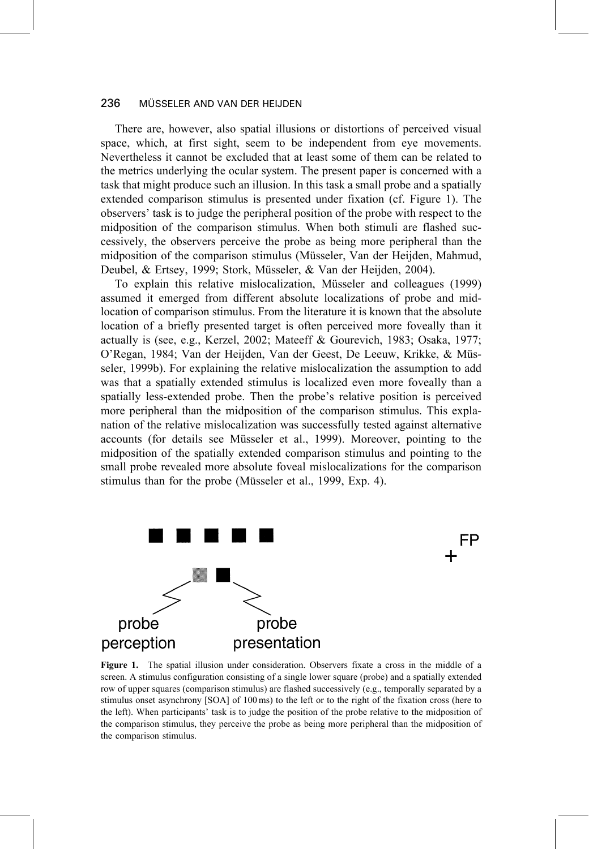There are, however, also spatial illusions or distortions of perceived visual space, which, at first sight, seem to be independent from eye movements. Nevertheless it cannot be excluded that at least some of them can be related to the metrics underlying the ocular system. The present paper is concerned with a task that might produce such an illusion. In this task a small probe and a spatially extended comparison stimulus is presented under fixation (cf. Figure 1). The observers' task is to judge the peripheral position of the probe with respect to the midposition of the comparison stimulus. When both stimuli are flashed successively, the observers perceive the probe as being more peripheral than the midposition of the comparison stimulus (Müsseler, Van der Heijden, Mahmud, Deubel, & Ertsey, 1999; Stork, Müsseler, & Van der Heijden, 2004).

To explain this relative mislocalization, Müsseler and colleagues (1999) assumed it emerged from different absolute localizations of probe and midlocation of comparison stimulus. From the literature it is known that the absolute location of a briefly presented target is often perceived more foveally than it actually is (see, e.g., Kerzel, 2002; Mateeff & Gourevich, 1983; Osaka, 1977; O'Regan, 1984; Van der Heijden, Van der Geest, De Leeuw, Krikke, & Müsseler, 1999b). For explaining the relative mislocalization the assumption to add was that a spatially extended stimulus is localized even more foveally than a spatially less-extended probe. Then the probe's relative position is perceived more peripheral than the midposition of the comparison stimulus. This explanation of the relative mislocalization was successfully tested against alternative accounts (for details see Müsseler et al., 1999). Moreover, pointing to the midposition of the spatially extended comparison stimulus and pointing to the small probe revealed more absolute foveal mislocalizations for the comparison stimulus than for the probe (Müsseler et al., 1999, Exp. 4).



Figure 1. The spatial illusion under consideration. Observers fixate a cross in the middle of a screen. A stimulus configuration consisting of a single lower square (probe) and a spatially extended row of upper squares (comparison stimulus) are flashed successively (e.g., temporally separated by a stimulus onset asynchrony [SOA] of 100 ms) to the left or to the right of the fixation cross (here to the left). When participants' task is to judge the position of the probe relative to the midposition of the comparison stimulus, they perceive the probe as being more peripheral than the midposition of the comparison stimulus.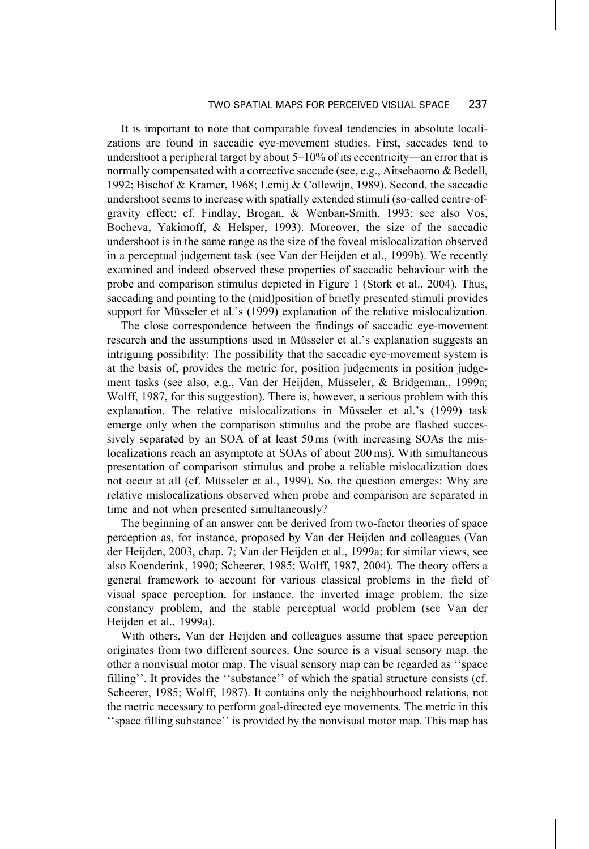It is important to note that comparable foveal tendencies in absolute localizations are found in saccadic eye-movement studies. First, saccades tend to undershoot a peripheral target by about 5–10% of its eccentricity—an error that is normally compensated with a corrective saccade (see, e.g., Aitsebaomo & Bedell, 1992; Bischof & Kramer, 1968; Lemij & Collewijn, 1989). Second, the saccadic undershoot seems to increase with spatially extended stimuli (so-called centre-ofgravity effect; cf. Findlay, Brogan, & Wenban-Smith, 1993; see also Vos, Bocheva, Yakimoff, & Helsper, 1993). Moreover, the size of the saccadic undershoot is in the same range as the size of the foveal mislocalization observed in a perceptual judgement task (see Van der Heijden et al., 1999b). We recently examined and indeed observed these properties of saccadic behaviour with the probe and comparison stimulus depicted in Figure 1 (Stork et al., 2004). Thus, saccading and pointing to the (mid) position of briefly presented stimuli provides support for Müsseler et al.'s (1999) explanation of the relative mislocalization.

The close correspondence between the findings of saccadic eye-movement research and the assumptions used in Müsseler et al.'s explanation suggests an intriguing possibility: The possibility that the saccadic eye-movement system is at the basis of, provides the metric for, position judgements in position judgement tasks (see also, e.g., Van der Heijden, Müsseler, & Bridgeman., 1999a; Wolff, 1987, for this suggestion). There is, however, a serious problem with this explanation. The relative mislocalizations in Müsseler et al.'s (1999) task emerge only when the comparison stimulus and the probe are flashed successively separated by an SOA of at least 50 ms (with increasing SOAs the mislocalizations reach an asymptote at SOAs of about 200 ms). With simultaneous presentation of comparison stimulus and probe a reliable mislocalization does not occur at all (cf. Müsseler et al., 1999). So, the question emerges: Why are relative mislocalizations observed when probe and comparison are separated in time and not when presented simultaneously?

The beginning of an answer can be derived from two-factor theories of space perception as, for instance, proposed by Van der Heijden and colleagues (Van der Heijden, 2003, chap. 7; Van der Heijden et al., 1999a; for similar views, see also Koenderink, 1990; Scheerer, 1985; Wolff, 1987, 2004). The theory offers a general framework to account for various classical problems in the field of visual space perception, for instance, the inverted image problem, the size constancy problem, and the stable perceptual world problem (see Van der Heijden et al., 1999a).

With others, Van der Heijden and colleagues assume that space perception originates from two different sources. One source is a visual sensory map, the other a nonvisual motor map. The visual sensory map can be regarded as "space" filling". It provides the "substance" of which the spatial structure consists (cf. Scheerer, 1985; Wolff, 1987). It contains only the neighbourhood relations, not the metric necessary to perform goal-directed eye movements. The metric in this "space filling substance" is provided by the nonvisual motor map. This map has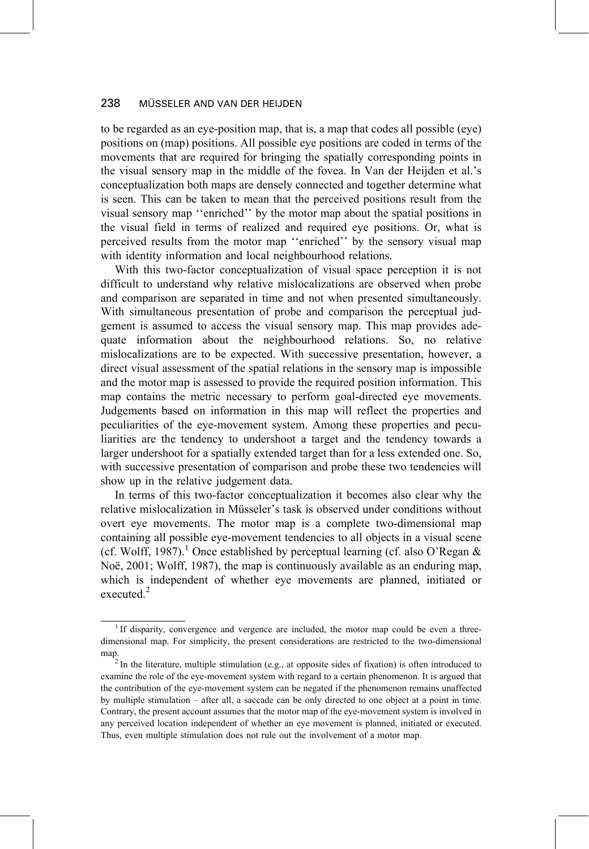to be regarded as an eye-position map, that is, a map that codes all possible (eye) positions on (map) positions. All possible eye positions are coded in terms of the movements that are required for bringing the spatially corresponding points in the visual sensory map in the middle of the fovea. In Van der Heijden et al.'s conceptualization both maps are densely connected and together determine what is seen. This can be taken to mean that the perceived positions result from the visual sensory map "enriched" by the motor map about the spatial positions in the visual field in terms of realized and required eye positions. Or, what is perceived results from the motor map "enriched" by the sensory visual map with identity information and local neighbourhood relations.

With this two-factor conceptualization of visual space perception it is not difficult to understand why relative mislocalizations are observed when probe and comparison are separated in time and not when presented simultaneously. With simultaneous presentation of probe and comparison the perceptual judgement is assumed to access the visual sensory map. This map provides adequate information about the neighbourhood relations. So, no relative mislocalizations are to be expected. With successive presentation, however, a direct visual assessment of the spatial relations in the sensory map is impossible and the motor map is assessed to provide the required position information. This map contains the metric necessary to perform goal-directed eye movements. Judgements based on information in this map will reflect the properties and peculiarities of the eye-movement system. Among these properties and peculiarities are the tendency to undershoot a target and the tendency towards a larger undershoot for a spatially extended target than for a less extended one. So, with successive presentation of comparison and probe these two tendencies will show up in the relative judgement data.

In terms of this two-factor conceptualization it becomes also clear why the relative mislocalization in Müsseler's task is observed under conditions without overt eye movements. The motor map is a complete two-dimensional map containing all possible eye-movement tendencies to all objects in a visual scene (cf. Wolff, 1987).<sup>1</sup> Once established by perceptual learning (cf. also O'Regan  $\&$ Noë, 2001; Wolff, 1987), the map is continuously available as an enduring map, which is independent of whether eye movements are planned, initiated or executed. $^{2}$ 

<sup>&</sup>lt;sup>1</sup>If disparity, convergence and vergence are included, the motor map could be even a threedimensional map. For simplicity, the present considerations are restricted to the two-dimensional

 $^{2}$  In the literature, multiple stimulation (e.g., at opposite sides of fixation) is often introduced to examine the role of the eye-movement system with regard to a certain phenomenon. It is argued that the contribution of the eye-movement system can be negated if the phenomenon remains unaffected by multiple stimulation – after all, a saccade can be only directed to one object at a point in time. Contrary, the present account assumes that the motor map of the eye-movement system is involved in any perceived location independent of whether an eye movement is planned, initiated or executed. Thus, even multiple stimulation does not rule out the involvement of a motor map.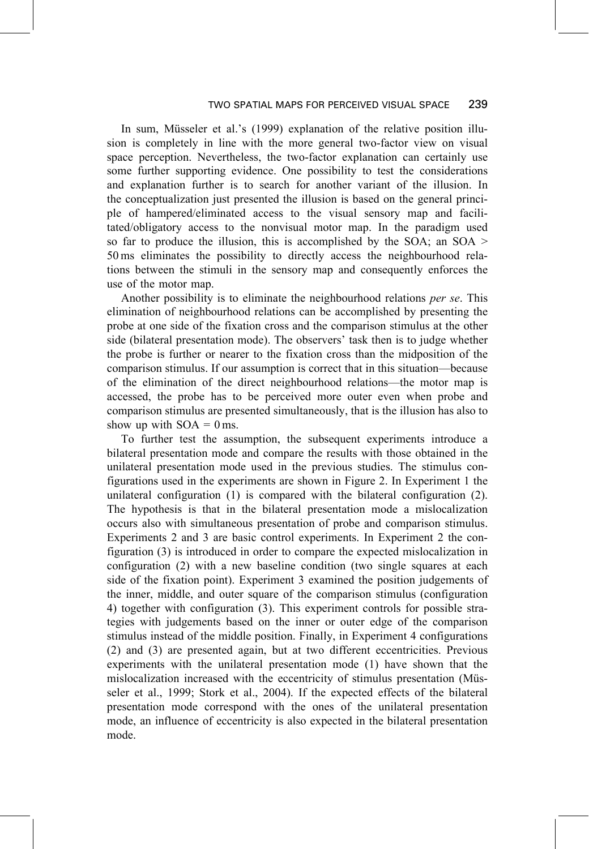In sum, Müsseler et al.'s (1999) explanation of the relative position illusion is completely in line with the more general two-factor view on visual space perception. Nevertheless, the two-factor explanation can certainly use some further supporting evidence. One possibility to test the considerations and explanation further is to search for another variant of the illusion. In the conceptualization just presented the illusion is based on the general principle of hampered/eliminated access to the visual sensory map and facilitated/obligatory access to the nonvisual motor map. In the paradigm used so far to produce the illusion, this is accomplished by the SOA; an SOA > 50 ms eliminates the possibility to directly access the neighbourhood relations between the stimuli in the sensory map and consequently enforces the use of the motor map.

Another possibility is to eliminate the neighbourhood relations *per se*. This elimination of neighbourhood relations can be accomplished by presenting the probe at one side of the fixation cross and the comparison stimulus at the other side (bilateral presentation mode). The observers' task then is to judge whether the probe is further or nearer to the fixation cross than the midposition of the comparison stimulus. If our assumption is correct that in this situation—because of the elimination of the direct neighbourhood relations-the motor map is accessed, the probe has to be perceived more outer even when probe and comparison stimulus are presented simultaneously, that is the illusion has also to show up with  $SOA = 0$  ms.

To further test the assumption, the subsequent experiments introduce a bilateral presentation mode and compare the results with those obtained in the unilateral presentation mode used in the previous studies. The stimulus configurations used in the experiments are shown in Figure 2. In Experiment 1 the unilateral configuration (1) is compared with the bilateral configuration (2). The hypothesis is that in the bilateral presentation mode a mislocalization occurs also with simultaneous presentation of probe and comparison stimulus. Experiments 2 and 3 are basic control experiments. In Experiment 2 the configuration (3) is introduced in order to compare the expected mislocalization in configuration (2) with a new baseline condition (two single squares at each side of the fixation point). Experiment 3 examined the position judgements of the inner, middle, and outer square of the comparison stimulus (configuration 4) together with configuration (3). This experiment controls for possible strategies with judgements based on the inner or outer edge of the comparison stimulus instead of the middle position. Finally, in Experiment 4 configurations (2) and (3) are presented again, but at two different eccentricities. Previous experiments with the unilateral presentation mode (1) have shown that the mislocalization increased with the eccentricity of stimulus presentation (Müsseler et al., 1999; Stork et al., 2004). If the expected effects of the bilateral presentation mode correspond with the ones of the unilateral presentation mode, an influence of eccentricity is also expected in the bilateral presentation mode.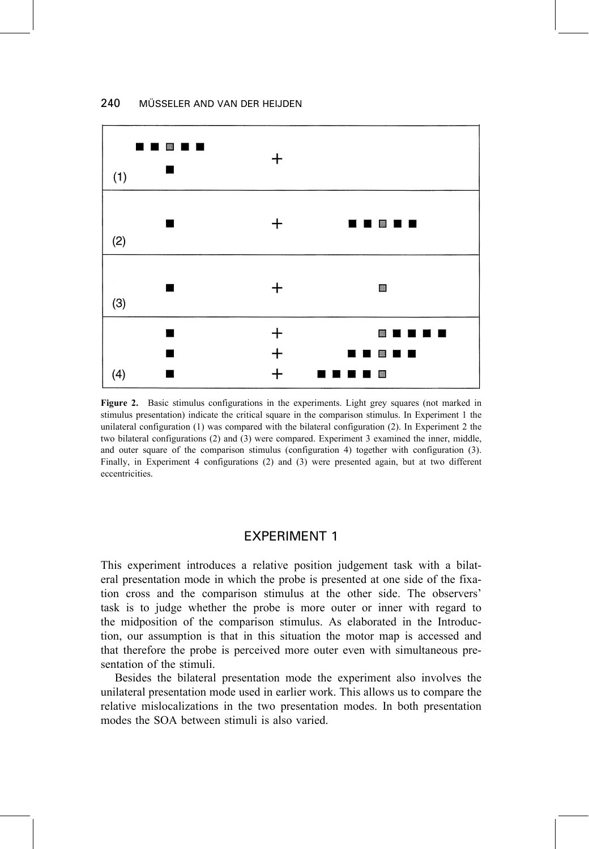

Figure 2. Basic stimulus configurations in the experiments. Light grey squares (not marked in stimulus presentation) indicate the critical square in the comparison stimulus. In Experiment 1 the unilateral configuration (1) was compared with the bilateral configuration (2). In Experiment 2 the two bilateral configurations (2) and (3) were compared. Experiment 3 examined the inner, middle, and outer square of the comparison stimulus (configuration 4) together with configuration (3). Finally, in Experiment 4 configurations (2) and (3) were presented again, but at two different eccentricities.

# **EXPERIMENT 1**

This experiment introduces a relative position judgement task with a bilateral presentation mode in which the probe is presented at one side of the fixation cross and the comparison stimulus at the other side. The observers' task is to judge whether the probe is more outer or inner with regard to the midposition of the comparison stimulus. As elaborated in the Introduction, our assumption is that in this situation the motor map is accessed and that therefore the probe is perceived more outer even with simultaneous presentation of the stimuli.

Besides the bilateral presentation mode the experiment also involves the unilateral presentation mode used in earlier work. This allows us to compare the relative mislocalizations in the two presentation modes. In both presentation modes the SOA between stimuli is also varied.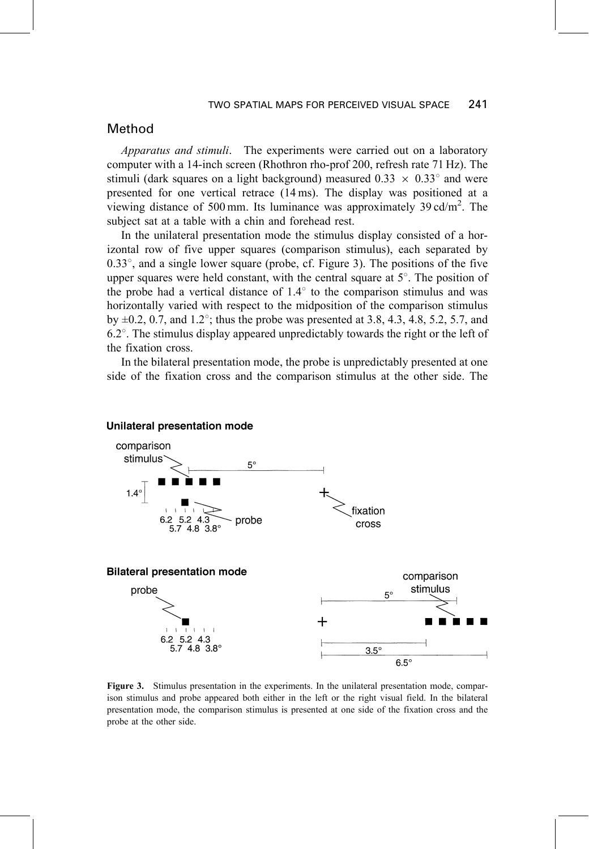### Method

Apparatus and stimuli. The experiments were carried out on a laboratory computer with a 14-inch screen (Rhothron rho-prof 200, refresh rate 71 Hz). The stimuli (dark squares on a light background) measured 0.33  $\times$  0.33° and were presented for one vertical retrace (14 ms). The display was positioned at a viewing distance of 500 mm. Its luminance was approximately  $39 \text{ cd/m}^2$ . The subject sat at a table with a chin and forehead rest.

In the unilateral presentation mode the stimulus display consisted of a horizontal row of five upper squares (comparison stimulus), each separated by  $0.33^{\circ}$ , and a single lower square (probe, cf. Figure 3). The positions of the five upper squares were held constant, with the central square at  $5^\circ$ . The position of the probe had a vertical distance of  $1.4^{\circ}$  to the comparison stimulus and was horizontally varied with respect to the midposition of the comparison stimulus by  $\pm 0.2$ , 0.7, and 1.2°; thus the probe was presented at 3.8, 4.3, 4.8, 5.2, 5.7, and  $6.2^{\circ}$ . The stimulus display appeared unpredictably towards the right or the left of the fixation cross.

In the bilateral presentation mode, the probe is unpredictably presented at one side of the fixation cross and the comparison stimulus at the other side. The



Figure 3. Stimulus presentation in the experiments. In the unilateral presentation mode, comparison stimulus and probe appeared both either in the left or the right visual field. In the bilateral presentation mode, the comparison stimulus is presented at one side of the fixation cross and the probe at the other side.

### Unilateral presentation mode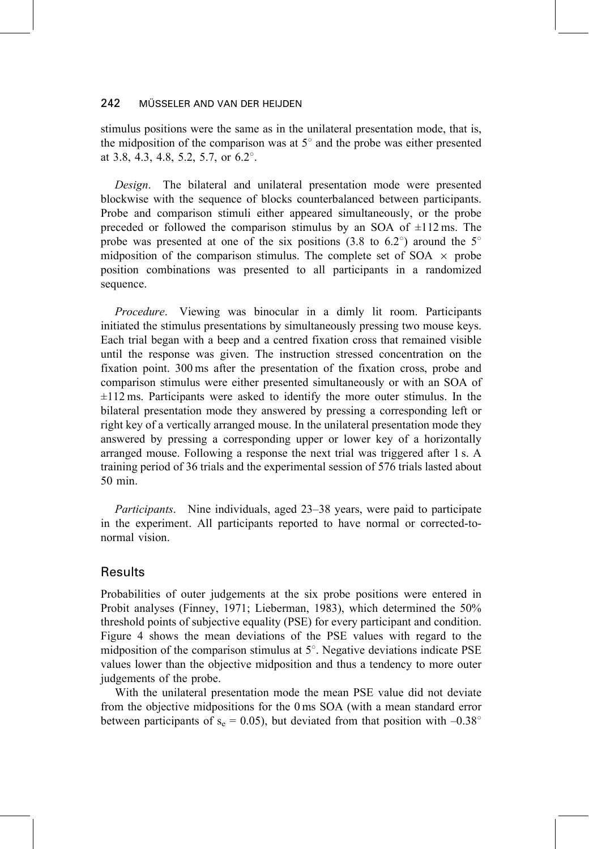stimulus positions were the same as in the unilateral presentation mode, that is, the midposition of the comparison was at  $5^\circ$  and the probe was either presented at 3.8, 4.3, 4.8, 5.2, 5.7, or 6.2°.

Design. The bilateral and unilateral presentation mode were presented blockwise with the sequence of blocks counterbalanced between participants. Probe and comparison stimuli either appeared simultaneously, or the probe preceded or followed the comparison stimulus by an SOA of  $\pm$ 112 ms. The probe was presented at one of the six positions (3.8 to 6.2°) around the  $5^\circ$ midposition of the comparison stimulus. The complete set of SOA  $\times$  probe position combinations was presented to all participants in a randomized sequence.

*Procedure.* Viewing was binocular in a dimly lit room. Participants initiated the stimulus presentations by simultaneously pressing two mouse keys. Each trial began with a beep and a centred fixation cross that remained visible until the response was given. The instruction stressed concentration on the fixation point. 300 ms after the presentation of the fixation cross, probe and comparison stimulus were either presented simultaneously or with an SOA of  $\pm$ 112 ms. Participants were asked to identify the more outer stimulus. In the bilateral presentation mode they answered by pressing a corresponding left or right key of a vertically arranged mouse. In the unilateral presentation mode they answered by pressing a corresponding upper or lower key of a horizontally arranged mouse. Following a response the next trial was triggered after 1 s. A training period of 36 trials and the experimental session of 576 trials lasted about 50 min.

*Participants.* Nine individuals, aged 23–38 years, were paid to participate in the experiment. All participants reported to have normal or corrected-tonormal vision.

# **Results**

Probabilities of outer judgements at the six probe positions were entered in Probit analyses (Finney, 1971; Lieberman, 1983), which determined the 50% threshold points of subjective equality (PSE) for every participant and condition. Figure 4 shows the mean deviations of the PSE values with regard to the midposition of the comparison stimulus at  $5^\circ$ . Negative deviations indicate PSE values lower than the objective midposition and thus a tendency to more outer judgements of the probe.

With the unilateral presentation mode the mean PSE value did not deviate from the objective midpositions for the 0 ms SOA (with a mean standard error between participants of  $s_e = 0.05$ ), but deviated from that position with  $-0.38^\circ$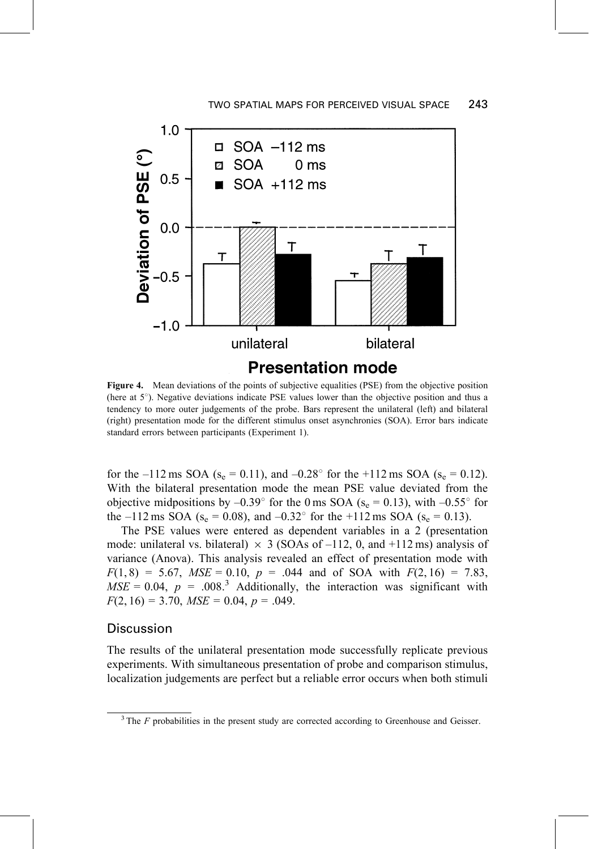

Figure 4. Mean deviations of the points of subjective equalities (PSE) from the objective position (here at 5°). Negative deviations indicate PSE values lower than the objective position and thus a tendency to more outer judgements of the probe. Bars represent the unilateral (left) and bilateral (right) presentation mode for the different stimulus onset asynchronies (SOA). Error bars indicate standard errors between participants (Experiment 1).

for the  $-112 \text{ ms }$  SOA (s<sub>e</sub> = 0.11), and  $-0.28^{\circ}$  for the +112 ms SOA (s<sub>e</sub> = 0.12). With the bilateral presentation mode the mean PSE value deviated from the objective midpositions by  $-0.39^{\circ}$  for the 0 ms SOA (s<sub>e</sub> = 0.13), with  $-0.55^{\circ}$  for the  $-112$  ms SOA (s<sub>e</sub> = 0.08), and  $-0.32^{\circ}$  for the +112 ms SOA (s<sub>e</sub> = 0.13).

The PSE values were entered as dependent variables in a 2 (presentation mode: unilateral vs. bilateral)  $\times$  3 (SOAs of -112, 0, and +112 ms) analysis of variance (Anova). This analysis revealed an effect of presentation mode with  $F(1,8) = 5.67$ ,  $MSE = 0.10$ ,  $p = .044$  and of SOA with  $F(2, 16) = 7.83$ ,  $MSE = 0.04$ ,  $p = .008$ <sup>3</sup> Additionally, the interaction was significant with  $F(2, 16) = 3.70$ ,  $MSE = 0.04$ ,  $p = .049$ .

### **Discussion**

The results of the unilateral presentation mode successfully replicate previous experiments. With simultaneous presentation of probe and comparison stimulus, localization judgements are perfect but a reliable error occurs when both stimuli

 $3$  The  $F$  probabilities in the present study are corrected according to Greenhouse and Geisser.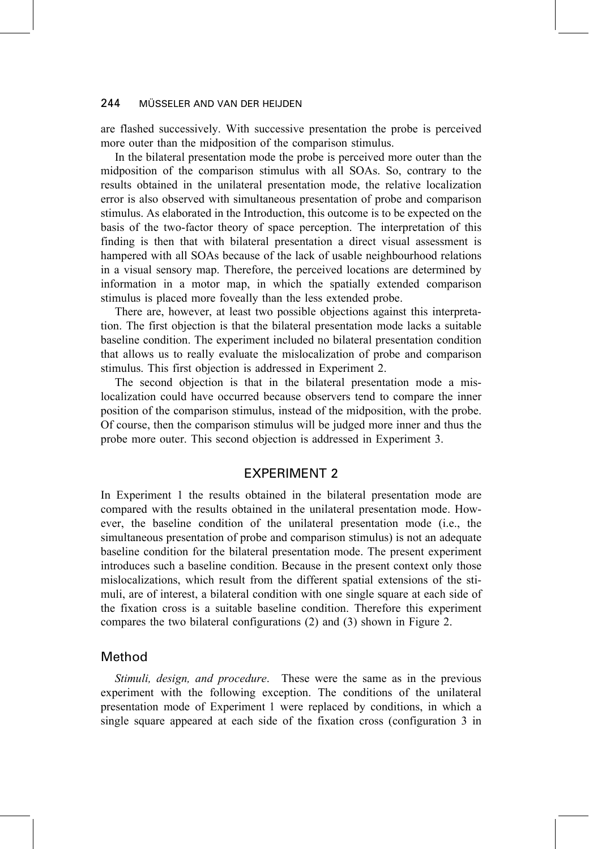are flashed successively. With successive presentation the probe is perceived more outer than the midposition of the comparison stimulus.

In the bilateral presentation mode the probe is perceived more outer than the midposition of the comparison stimulus with all SOAs. So, contrary to the results obtained in the unilateral presentation mode, the relative localization error is also observed with simultaneous presentation of probe and comparison stimulus. As elaborated in the Introduction, this outcome is to be expected on the basis of the two-factor theory of space perception. The interpretation of this finding is then that with bilateral presentation a direct visual assessment is hampered with all SOAs because of the lack of usable neighbourhood relations in a visual sensory map. Therefore, the perceived locations are determined by information in a motor map, in which the spatially extended comparison stimulus is placed more foveally than the less extended probe.

There are, however, at least two possible objections against this interpretation. The first objection is that the bilateral presentation mode lacks a suitable baseline condition. The experiment included no bilateral presentation condition that allows us to really evaluate the mislocalization of probe and comparison stimulus. This first objection is addressed in Experiment 2.

The second objection is that in the bilateral presentation mode a mislocalization could have occurred because observers tend to compare the inner position of the comparison stimulus, instead of the midposition, with the probe. Of course, then the comparison stimulus will be judged more inner and thus the probe more outer. This second objection is addressed in Experiment 3.

# **FXPERIMENT 2**

In Experiment 1 the results obtained in the bilateral presentation mode are compared with the results obtained in the unilateral presentation mode. However, the baseline condition of the unilateral presentation mode (i.e., the simultaneous presentation of probe and comparison stimulus) is not an adequate baseline condition for the bilateral presentation mode. The present experiment introduces such a baseline condition. Because in the present context only those mislocalizations, which result from the different spatial extensions of the stimuli, are of interest, a bilateral condition with one single square at each side of the fixation cross is a suitable baseline condition. Therefore this experiment compares the two bilateral configurations (2) and (3) shown in Figure 2.

# Method

*Stimuli, design, and procedure.* These were the same as in the previous experiment with the following exception. The conditions of the unilateral presentation mode of Experiment 1 were replaced by conditions, in which a single square appeared at each side of the fixation cross (configuration 3 in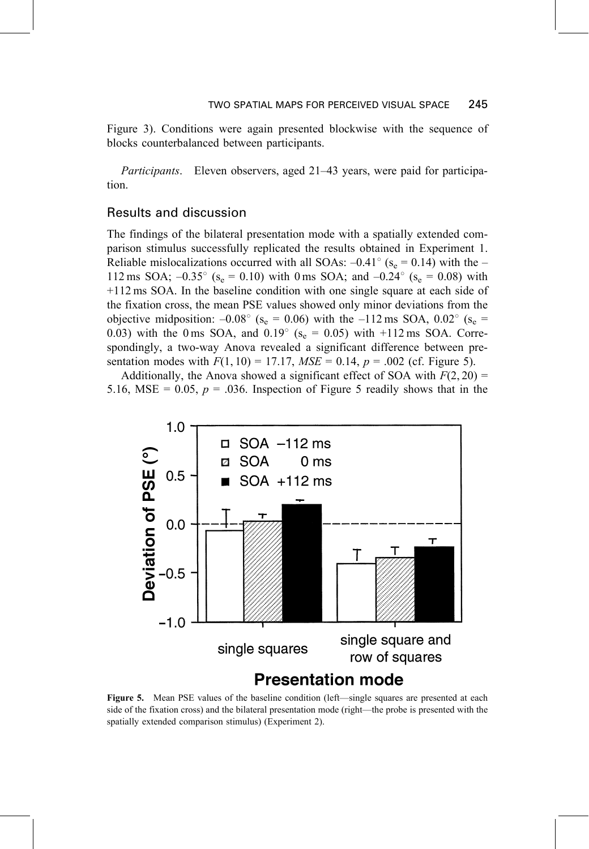Figure 3). Conditions were again presented blockwise with the sequence of blocks counterbalanced between participants.

Participants. Eleven observers, aged 21–43 years, were paid for participation.

### Results and discussion

The findings of the bilateral presentation mode with a spatially extended comparison stimulus successfully replicated the results obtained in Experiment 1. Reliable mislocalizations occurred with all SOAs:  $-0.41^{\circ}$  (s<sub>e</sub> = 0.14) with the – 112 ms SOA;  $-0.35^{\circ}$  (s<sub>e</sub> = 0.10) with 0 ms SOA; and  $-0.24^{\circ}$  (s<sub>e</sub> = 0.08) with  $+112$  ms SOA. In the baseline condition with one single square at each side of the fixation cross, the mean PSE values showed only minor deviations from the objective midposition:  $-0.08^{\circ}$  (s<sub>e</sub> = 0.06) with the  $-112 \text{ ms SOA}, 0.02^{\circ}$  (s<sub>e</sub> = 0.03) with the 0 ms SOA, and 0.19° ( $s_e$  = 0.05) with +112 ms SOA. Correspondingly, a two-way Anova revealed a significant difference between presentation modes with  $F(1, 10) = 17.17$ ,  $MSE = 0.14$ ,  $p = .002$  (cf. Figure 5).

Additionally, the Anova showed a significant effect of SOA with  $F(2, 20)$  = 5.16, MSE = 0.05,  $p = 0.036$ . Inspection of Figure 5 readily shows that in the



Figure 5. Mean PSE values of the baseline condition (left—single squares are presented at each side of the fixation cross) and the bilateral presentation mode (right—the probe is presented with the spatially extended comparison stimulus) (Experiment 2).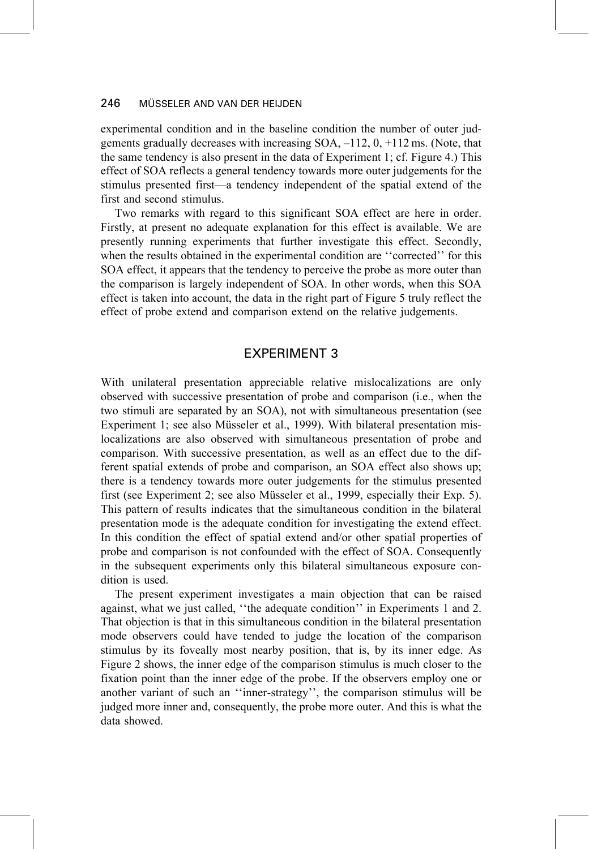experimental condition and in the baseline condition the number of outer judgements gradually decreases with increasing  $SOA$ ,  $-112$ , 0,  $+112$  ms. (Note, that the same tendency is also present in the data of Experiment 1; cf. Figure 4.) This effect of SOA reflects a general tendency towards more outer judgements for the stimulus presented first—a tendency independent of the spatial extend of the first and second stimulus.

Two remarks with regard to this significant SOA effect are here in order. Firstly, at present no adequate explanation for this effect is available. We are presently running experiments that further investigate this effect. Secondly, when the results obtained in the experimental condition are "corrected" for this SOA effect, it appears that the tendency to perceive the probe as more outer than the comparison is largely independent of SOA. In other words, when this SOA effect is taken into account, the data in the right part of Figure 5 truly reflect the effect of probe extend and comparison extend on the relative judgements.

# **EXPERIMENT 3**

With unilateral presentation appreciable relative mislocalizations are only observed with successive presentation of probe and comparison (i.e., when the two stimuli are separated by an SOA), not with simultaneous presentation (see Experiment 1; see also Müsseler et al., 1999). With bilateral presentation mislocalizations are also observed with simultaneous presentation of probe and comparison. With successive presentation, as well as an effect due to the different spatial extends of probe and comparison, an SOA effect also shows up; there is a tendency towards more outer judgements for the stimulus presented first (see Experiment 2; see also Müsseler et al., 1999, especially their Exp. 5). This pattern of results indicates that the simultaneous condition in the bilateral presentation mode is the adequate condition for investigating the extend effect. In this condition the effect of spatial extend and/or other spatial properties of probe and comparison is not confounded with the effect of SOA. Consequently in the subsequent experiments only this bilateral simultaneous exposure condition is used.

The present experiment investigates a main objection that can be raised against, what we just called, "the adequate condition" in Experiments 1 and 2. That objection is that in this simultaneous condition in the bilateral presentation mode observers could have tended to judge the location of the comparison stimulus by its foveally most nearby position, that is, by its inner edge. As Figure 2 shows, the inner edge of the comparison stimulus is much closer to the fixation point than the inner edge of the probe. If the observers employ one or another variant of such an "inner-strategy", the comparison stimulus will be judged more inner and, consequently, the probe more outer. And this is what the data showed.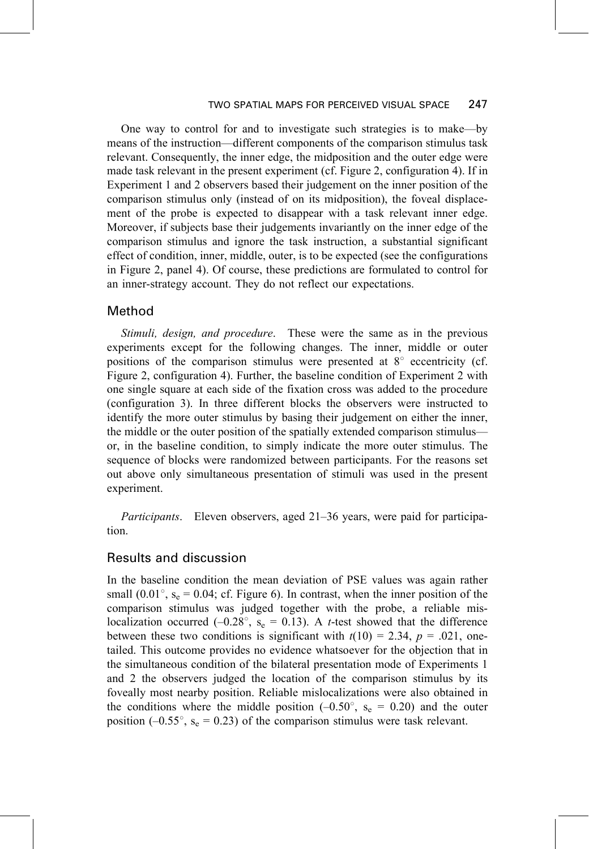One way to control for and to investigate such strategies is to make—by means of the instruction—different components of the comparison stimulus task relevant. Consequently, the inner edge, the midposition and the outer edge were made task relevant in the present experiment (cf. Figure 2, configuration 4). If in Experiment 1 and 2 observers based their judgement on the inner position of the comparison stimulus only (instead of on its midposition), the foveal displacement of the probe is expected to disappear with a task relevant inner edge. Moreover, if subjects base their judgements invariantly on the inner edge of the comparison stimulus and ignore the task instruction, a substantial significant effect of condition, inner, middle, outer, is to be expected (see the configurations in Figure 2, panel 4). Of course, these predictions are formulated to control for an inner-strategy account. They do not reflect our expectations.

### Method

Stimuli, design, and procedure. These were the same as in the previous experiments except for the following changes. The inner, middle or outer positions of the comparison stimulus were presented at  $8^\circ$  eccentricity (cf. Figure 2, configuration 4). Further, the baseline condition of Experiment 2 with one single square at each side of the fixation cross was added to the procedure (configuration 3). In three different blocks the observers were instructed to identify the more outer stimulus by basing their judgement on either the inner, the middle or the outer position of the spatially extended comparison stimulus or, in the baseline condition, to simply indicate the more outer stimulus. The sequence of blocks were randomized between participants. For the reasons set out above only simultaneous presentation of stimuli was used in the present experiment.

Participants. Eleven observers, aged 21-36 years, were paid for participation.

# Results and discussion

In the baseline condition the mean deviation of PSE values was again rather small  $(0.01^{\circ}, s_e = 0.04; \text{ cf. Figure 6}).$  In contrast, when the inner position of the comparison stimulus was judged together with the probe, a reliable mislocalization occurred (-0.28°,  $s_e$  = 0.13). A *t*-test showed that the difference between these two conditions is significant with  $t(10) = 2.34$ ,  $p = .021$ , onetailed. This outcome provides no evidence whatsoever for the objection that in the simultaneous condition of the bilateral presentation mode of Experiments 1 and 2 the observers judged the location of the comparison stimulus by its foveally most nearby position. Reliable mislocalizations were also obtained in the conditions where the middle position  $(-0.50^{\circ})$ , s<sub>e</sub> = 0.20) and the outer position (-0.55°,  $s_e$  = 0.23) of the comparison stimulus were task relevant.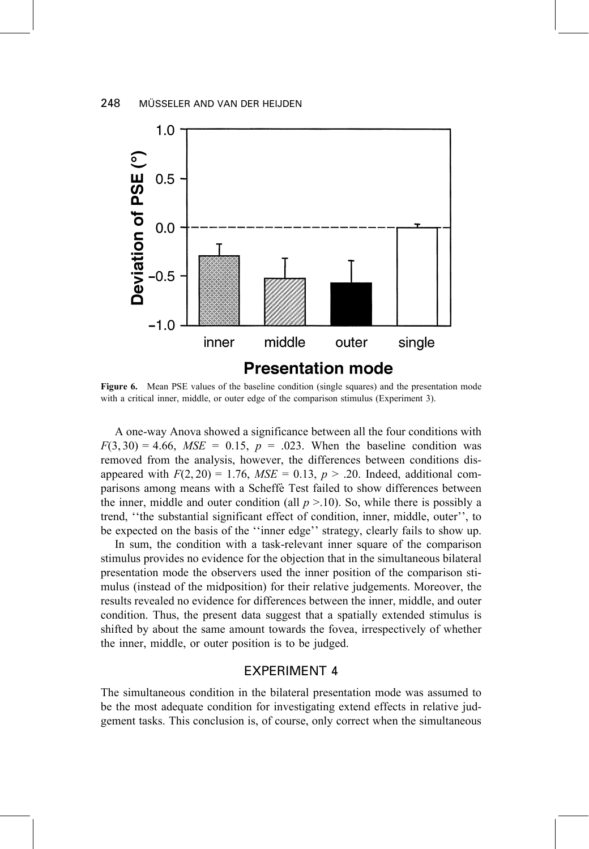

Figure 6. Mean PSE values of the baseline condition (single squares) and the presentation mode with a critical inner, middle, or outer edge of the comparison stimulus (Experiment 3).

A one-way Anova showed a significance between all the four conditions with  $F(3,30) = 4.66$ ,  $MSE = 0.15$ ,  $p = .023$ . When the baseline condition was removed from the analysis, however, the differences between conditions disappeared with  $F(2, 20) = 1.76$ ,  $MSE = 0.13$ ,  $p > .20$ . Indeed, additional comparisons among means with a Scheffe Test failed to show differences between the inner, middle and outer condition (all  $p > 10$ ). So, while there is possibly a trend, "the substantial significant effect of condition, inner, middle, outer", to be expected on the basis of the "inner edge" strategy, clearly fails to show up.

In sum, the condition with a task-relevant inner square of the comparison stimulus provides no evidence for the objection that in the simultaneous bilateral presentation mode the observers used the inner position of the comparison stimulus (instead of the midposition) for their relative judgements. Moreover, the results revealed no evidence for differences between the inner, middle, and outer condition. Thus, the present data suggest that a spatially extended stimulus is shifted by about the same amount towards the fovea, irrespectively of whether the inner, middle, or outer position is to be judged.

# **EXPERIMENT 4**

The simultaneous condition in the bilateral presentation mode was assumed to be the most adequate condition for investigating extend effects in relative judgement tasks. This conclusion is, of course, only correct when the simultaneous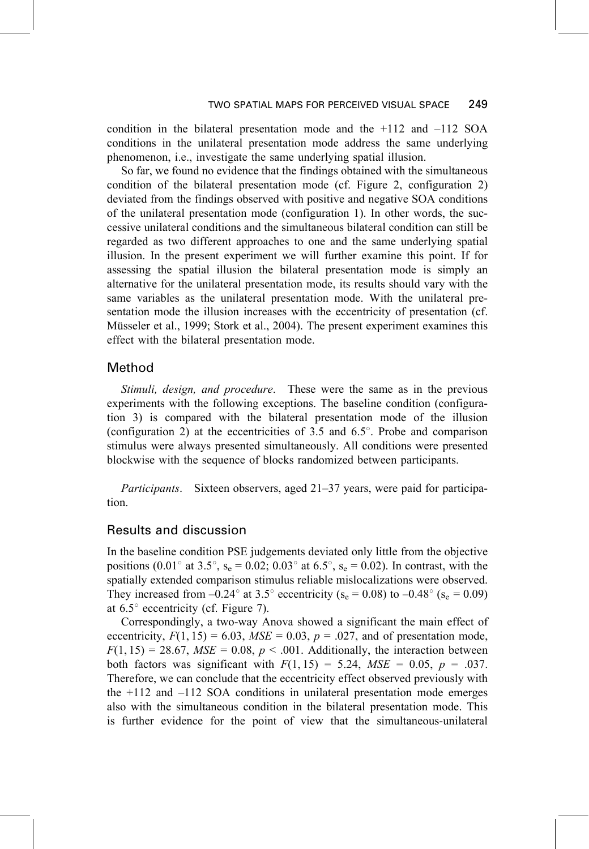condition in the bilateral presentation mode and the  $+112$  and  $-112$  SOA conditions in the unilateral presentation mode address the same underlying phenomenon, i.e., investigate the same underlying spatial illusion.

So far, we found no evidence that the findings obtained with the simultaneous condition of the bilateral presentation mode (cf. Figure 2, configuration 2) deviated from the findings observed with positive and negative SOA conditions of the unilateral presentation mode (configuration 1). In other words, the successive unilateral conditions and the simultaneous bilateral condition can still be regarded as two different approaches to one and the same underlying spatial illusion. In the present experiment we will further examine this point. If for assessing the spatial illusion the bilateral presentation mode is simply an alternative for the unilateral presentation mode, its results should vary with the same variables as the unilateral presentation mode. With the unilateral presentation mode the illusion increases with the eccentricity of presentation (cf. Müsseler et al., 1999; Stork et al., 2004). The present experiment examines this effect with the bilateral presentation mode.

### Method

*Stimuli, design, and procedure.* These were the same as in the previous experiments with the following exceptions. The baseline condition (configuration 3) is compared with the bilateral presentation mode of the illusion (configuration 2) at the eccentricities of 3.5 and  $6.5^{\circ}$ . Probe and comparison stimulus were always presented simultaneously. All conditions were presented blockwise with the sequence of blocks randomized between participants.

*Participants.* Sixteen observers, aged 21–37 years, were paid for participation.

### **Results and discussion**

In the baseline condition PSE judgements deviated only little from the objective positions (0.01° at 3.5°,  $s_e = 0.02$ ; 0.03° at 6.5°,  $s_e = 0.02$ ). In contrast, with the spatially extended comparison stimulus reliable mislocalizations were observed. They increased from  $-0.24^{\circ}$  at 3.5° eccentricity (s<sub>e</sub> = 0.08) to  $-0.48^{\circ}$  (s<sub>e</sub> = 0.09) at  $6.5^{\circ}$  eccentricity (cf. Figure 7).

Correspondingly, a two-way Anova showed a significant the main effect of eccentricity,  $F(1, 15) = 6.03$ ,  $MSE = 0.03$ ,  $p = .027$ , and of presentation mode,  $F(1, 15) = 28.67$ ,  $MSE = 0.08$ ,  $p < .001$ . Additionally, the interaction between both factors was significant with  $F(1, 15) = 5.24$ ,  $MSE = 0.05$ ,  $p = .037$ . Therefore, we can conclude that the eccentricity effect observed previously with the  $+112$  and  $-112$  SOA conditions in unilateral presentation mode emerges also with the simultaneous condition in the bilateral presentation mode. This is further evidence for the point of view that the simultaneous-unilateral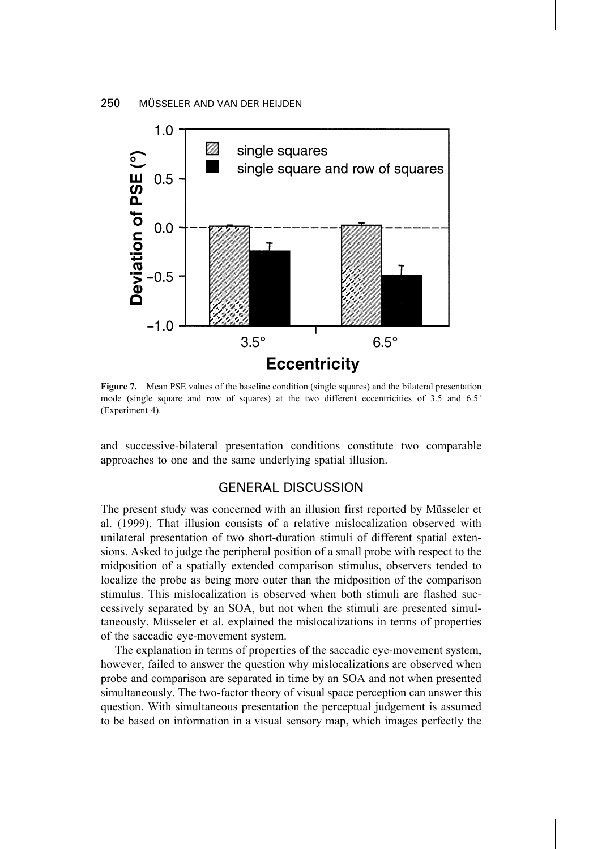

Figure 7. Mean PSE values of the baseline condition (single squares) and the bilateral presentation mode (single square and row of squares) at the two different eccentricities of 3.5 and 6.5° (Experiment 4).

and successive-bilateral presentation conditions constitute two comparable approaches to one and the same underlying spatial illusion.

# **GENERAL DISCUSSION**

The present study was concerned with an illusion first reported by Müsseler et al. (1999). That illusion consists of a relative mislocalization observed with unilateral presentation of two short-duration stimuli of different spatial extensions. Asked to judge the peripheral position of a small probe with respect to the midposition of a spatially extended comparison stimulus, observers tended to localize the probe as being more outer than the midposition of the comparison stimulus. This mislocalization is observed when both stimuli are flashed successively separated by an SOA, but not when the stimuli are presented simultaneously. Müsseler et al. explained the mislocalizations in terms of properties of the saccadic eye-movement system.

The explanation in terms of properties of the saccadic eye-movement system, however, failed to answer the question why mislocalizations are observed when probe and comparison are separated in time by an SOA and not when presented simultaneously. The two-factor theory of visual space perception can answer this question. With simultaneous presentation the perceptual judgement is assumed to be based on information in a visual sensory map, which images perfectly the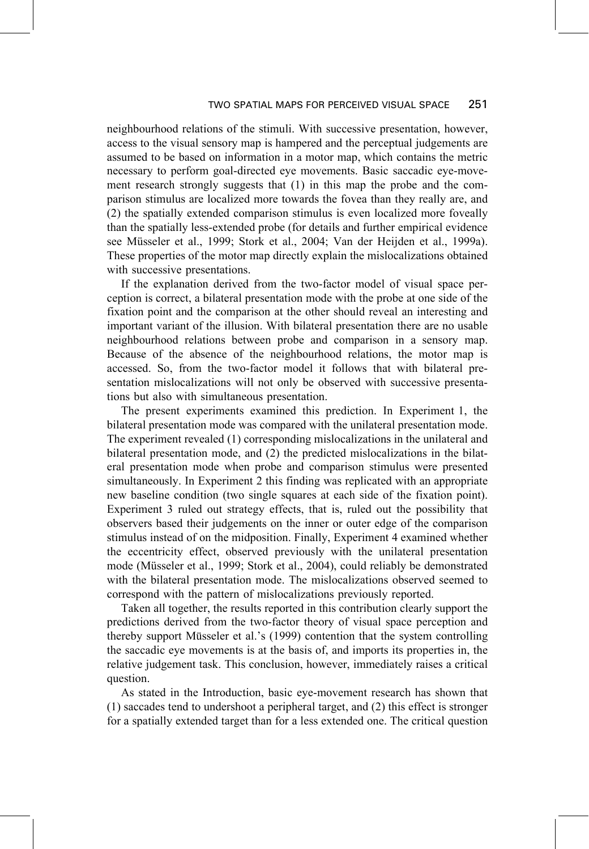neighbourhood relations of the stimuli. With successive presentation, however, access to the visual sensory map is hampered and the perceptual judgements are assumed to be based on information in a motor map, which contains the metric necessary to perform goal-directed eye movements. Basic saccadic eye-movement research strongly suggests that (1) in this map the probe and the comparison stimulus are localized more towards the fovea than they really are, and (2) the spatially extended comparison stimulus is even localized more foveally than the spatially less-extended probe (for details and further empirical evidence see Müsseler et al., 1999; Stork et al., 2004; Van der Heijden et al., 1999a). These properties of the motor map directly explain the mislocalizations obtained with successive presentations.

If the explanation derived from the two-factor model of visual space perception is correct, a bilateral presentation mode with the probe at one side of the fixation point and the comparison at the other should reveal an interesting and important variant of the illusion. With bilateral presentation there are no usable neighbourhood relations between probe and comparison in a sensory map. Because of the absence of the neighbourhood relations, the motor map is accessed. So, from the two-factor model it follows that with bilateral presentation mislocalizations will not only be observed with successive presentations but also with simultaneous presentation.

The present experiments examined this prediction. In Experiment 1, the bilateral presentation mode was compared with the unilateral presentation mode. The experiment revealed (1) corresponding mislocalizations in the unilateral and bilateral presentation mode, and (2) the predicted mislocalizations in the bilateral presentation mode when probe and comparison stimulus were presented simultaneously. In Experiment 2 this finding was replicated with an appropriate new baseline condition (two single squares at each side of the fixation point). Experiment 3 ruled out strategy effects, that is, ruled out the possibility that observers based their judgements on the inner or outer edge of the comparison stimulus instead of on the midposition. Finally, Experiment 4 examined whether the eccentricity effect, observed previously with the unilateral presentation mode (Müsseler et al., 1999; Stork et al., 2004), could reliably be demonstrated with the bilateral presentation mode. The mislocalizations observed seemed to correspond with the pattern of mislocalizations previously reported.

Taken all together, the results reported in this contribution clearly support the predictions derived from the two-factor theory of visual space perception and thereby support Müsseler et al.'s (1999) contention that the system controlling the saccadic eye movements is at the basis of, and imports its properties in, the relative judgement task. This conclusion, however, immediately raises a critical question.

As stated in the Introduction, basic eye-movement research has shown that  $(1)$  saccades tend to undershoot a peripheral target, and  $(2)$  this effect is stronger for a spatially extended target than for a less extended one. The critical question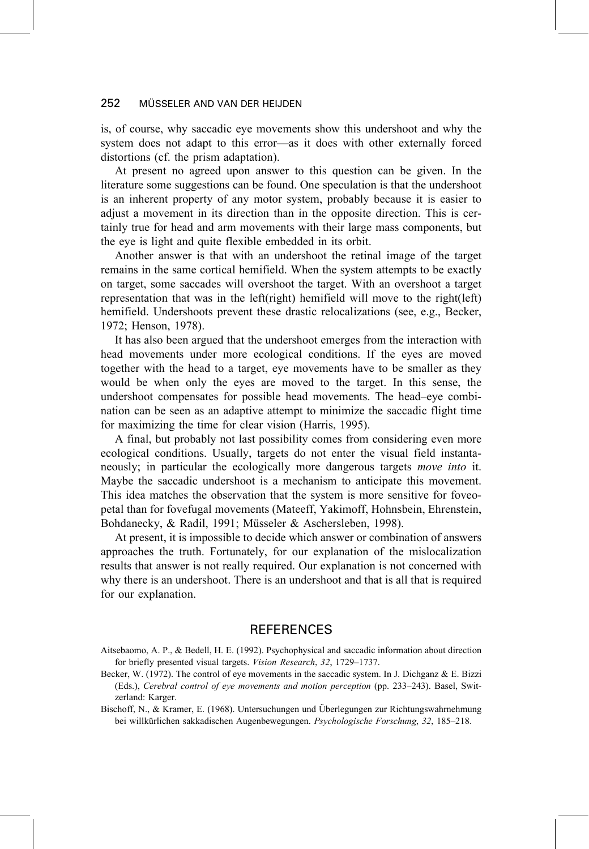is, of course, why saccadic eye movements show this undershoot and why the system does not adapt to this error-as it does with other externally forced distortions (cf. the prism adaptation).

At present no agreed upon answer to this question can be given. In the literature some suggestions can be found. One speculation is that the undershoot is an inherent property of any motor system, probably because it is easier to adjust a movement in its direction than in the opposite direction. This is certainly true for head and arm movements with their large mass components, but the eye is light and quite flexible embedded in its orbit.

Another answer is that with an undershoot the retinal image of the target remains in the same cortical hemifield. When the system attempts to be exactly on target, some saccades will overshoot the target. With an overshoot a target representation that was in the left(right) hemifield will move to the right(left) hemifield. Undershoots prevent these drastic relocalizations (see, e.g., Becker, 1972; Henson, 1978).

It has also been argued that the undershoot emerges from the interaction with head movements under more ecological conditions. If the eyes are moved together with the head to a target, eye movements have to be smaller as they would be when only the eyes are moved to the target. In this sense, the undershoot compensates for possible head movements. The head-eye combination can be seen as an adaptive attempt to minimize the saccadic flight time for maximizing the time for clear vision (Harris, 1995).

A final, but probably not last possibility comes from considering even more ecological conditions. Usually, targets do not enter the visual field instantaneously; in particular the ecologically more dangerous targets *move into* it. Maybe the saccadic undershoot is a mechanism to anticipate this movement. This idea matches the observation that the system is more sensitive for foveopetal than for fovefugal movements (Mateeff, Yakimoff, Hohnsbein, Ehrenstein, Bohdanecky, & Radil, 1991; Müsseler & Aschersleben, 1998).

At present, it is impossible to decide which answer or combination of answers approaches the truth. Fortunately, for our explanation of the mislocalization results that answer is not really required. Our explanation is not concerned with why there is an undershoot. There is an undershoot and that is all that is required for our explanation.

### **REFERENCES**

- Aitsebaomo, A. P., & Bedell, H. E. (1992). Psychophysical and saccadic information about direction for briefly presented visual targets. *Vision Research*, 32, 1729–1737.
- Becker, W. (1972). The control of eye movements in the saccadic system. In J. Dichganz & E. Bizzi (Eds.), Cerebral control of eye movements and motion perception (pp. 233-243). Basel, Switzerland: Karger.
- Bischoff, N., & Kramer, E. (1968). Untersuchungen und Überlegungen zur Richtungswahrnehmung bei willkürlichen sakkadischen Augenbewegungen. Psychologische Forschung, 32, 185–218.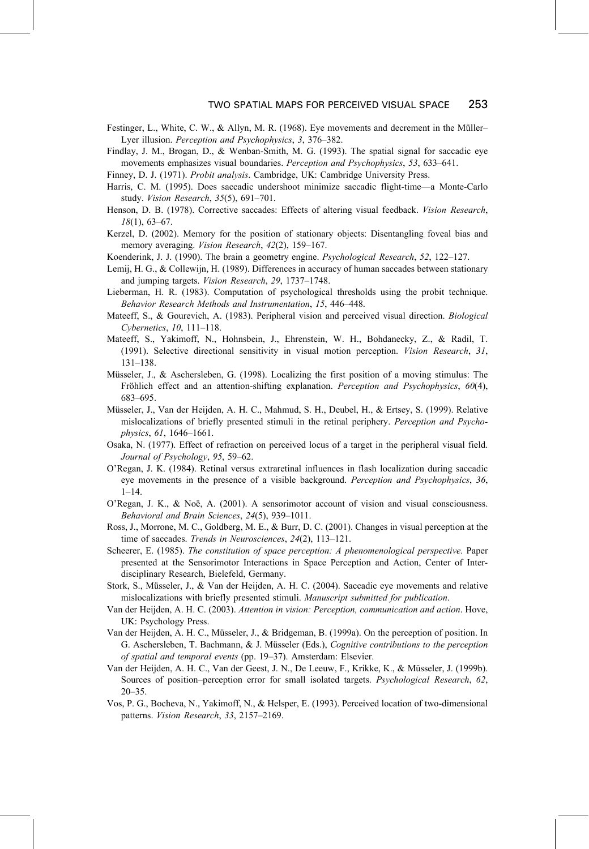- Festinger, L., White, C. W., & Allyn, M. R. (1968). Eye movements and decrement in the Müller-Lyer illusion. Perception and Psychophysics, 3, 376-382.
- Findlay, J. M., Brogan, D., & Wenban-Smith, M. G. (1993). The spatial signal for saccadic eye movements emphasizes visual boundaries. Perception and Psychophysics, 53, 633–641.
- Finney, D. J. (1971). Probit analysis. Cambridge, UK: Cambridge University Press.
- Harris, C. M. (1995). Does saccadic undershoot minimize saccadic flight-time—a Monte-Carlo study. Vision Research, 35(5), 691-701.
- Henson, D. B. (1978). Corrective saccades: Effects of altering visual feedback. Vision Research,  $18(1), 63-67.$
- Kerzel, D. (2002). Memory for the position of stationary objects: Disentangling foveal bias and memory averaging. Vision Research, 42(2), 159-167.
- Koenderink, J. J. (1990). The brain a geometry engine. Psychological Research, 52, 122-127.
- Lemij, H. G., & Collewijn, H. (1989). Differences in accuracy of human saccades between stationary and jumping targets. Vision Research, 29, 1737-1748.
- Lieberman, H. R. (1983). Computation of psychological thresholds using the probit technique. Behavior Research Methods and Instrumentation, 15, 446-448.
- Mateeff, S., & Gourevich, A. (1983). Peripheral vision and perceived visual direction. Biological Cybernetics, 10, 111-118.
- Mateeff, S., Yakimoff, N., Hohnsbein, J., Ehrenstein, W. H., Bohdanecky, Z., & Radil, T. (1991). Selective directional sensitivity in visual motion perception. *Vision Research*, 31,  $131 - 138$ .
- Müsseler, J., & Aschersleben, G. (1998). Localizing the first position of a moving stimulus: The Fröhlich effect and an attention-shifting explanation. Perception and Psychophysics, 60(4), 683–695.
- Müsseler, J., Van der Heijden, A. H. C., Mahmud, S. H., Deubel, H., & Ertsey, S. (1999). Relative mislocalizations of briefly presented stimuli in the retinal periphery. Perception and Psychophysics, 61, 1646-1661.
- Osaka, N. (1977). Effect of refraction on perceived locus of a target in the peripheral visual field. Journal of Psychology, 95, 59-62.
- O'Regan, J. K. (1984). Retinal versus extraretinal influences in flash localization during saccadic eye movements in the presence of a visible background. Perception and Psychophysics, 36,  $1 - 14$ .
- O'Regan, J. K., & Noë, A. (2001). A sensorimotor account of vision and visual consciousness. Behavioral and Brain Sciences, 24(5), 939-1011.
- Ross, J., Morrone, M. C., Goldberg, M. E., & Burr, D. C. (2001). Changes in visual perception at the time of saccades. Trends in Neurosciences, 24(2), 113-121.
- Scheerer, E. (1985). The constitution of space perception: A phenomenological perspective. Paper presented at the Sensorimotor Interactions in Space Perception and Action, Center of Interdisciplinary Research, Bielefeld, Germany.
- Stork, S., Müsseler, J., & Van der Heijden, A. H. C. (2004). Saccadic eye movements and relative mislocalizations with briefly presented stimuli. Manuscript submitted for publication.
- Van der Heijden, A. H. C. (2003). Attention in vision: Perception, communication and action. Hove, UK: Psychology Press.
- Van der Heijden, A. H. C., Müsseler, J., & Bridgeman, B. (1999a). On the perception of position. In G. Aschersleben, T. Bachmann, & J. Müsseler (Eds.), Cognitive contributions to the perception of spatial and temporal events (pp. 19–37). Amsterdam: Elsevier.
- Van der Heijden, A. H. C., Van der Geest, J. N., De Leeuw, F., Krikke, K., & Müsseler, J. (1999b). Sources of position-perception error for small isolated targets. Psychological Research, 62,  $20 - 35.$
- Vos, P. G., Bocheva, N., Yakimoff, N., & Helsper, E. (1993). Perceived location of two-dimensional patterns. Vision Research, 33, 2157-2169.